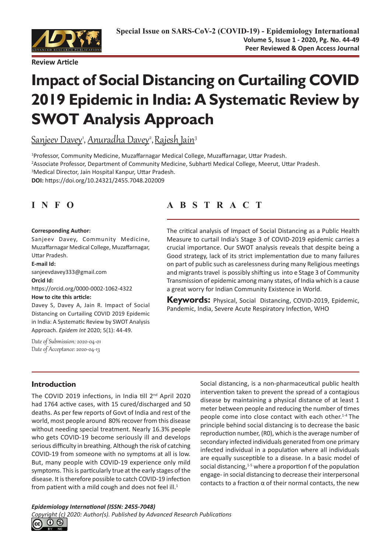

# **Impact of Social Distancing on Curtailing COVID 2019 Epidemic in India: A Systematic Review by SWOT Analysis Approach**

<u>Sanjeev Davey', Anuradha Davey<sup>2</sup>, Rajesh Jain<sup>3</sup></u>

 Professor, Community Medicine, Muzaffarnagar Medical College, Muzaffarnagar, Uttar Pradesh. Associate Professor, Department of Community Medicine, Subharti Medical College, Meerut, Uttar Pradesh. Medical Director, Jain Hospital Kanpur, Uttar Pradesh. **DOI:** https://doi.org/10.24321/2455.7048.202009

#### **Corresponding Author:**

Sanjeev Davey, Community Medicine, Muzaffarnagar Medical College, Muzaffarnagar, Uttar Pradesh.

#### **E-mail Id:**

sanjeevdavey333@gmail.com **Orcid Id:** https://orcid.org/0000-0002-1062-4322

#### **How to cite this article:**

Davey S, Davey A, Jain R. Impact of Social Distancing on Curtailing COVID 2019 Epidemic in India: A Systematic Review by SWOT Analysis Approach. *Epidem Int* 2020; 5(1): 44-49.

Date of Submission: 2020-04-01 Date of Acceptance: 2020-04-13

# **INFO ABSTRACT**

The critical analysis of Impact of Social Distancing as a Public Health Measure to curtail India's Stage 3 of COVID-2019 epidemic carries a crucial importance. Our SWOT analysis reveals that despite being a Good strategy, lack of its strict implementation due to many failures on part of public such as carelessness during many Religious meetings and migrants travel is possibly shifting us into e Stage 3 of Community Transmission of epidemic among many states, of India which is a cause a great worry for Indian Community Existence in World.

**Keywords:** Physical, Social Distancing, COVID-2019, Epidemic, Pandemic, India, Severe Acute Respiratory Infection, WHO

# **Introduction**

The COVID 2019 infections, in India till 2<sup>nd</sup> April 2020 had 1764 active cases, with 15 cured/discharged and 50 deaths. As per few reports of Govt of India and rest of the world, most people around 80% recover from this disease without needing special treatment. Nearly 16.3% people who gets COVID-19 become seriously ill and develops serious difficulty in breathing. Although the risk of catching COVID-19 from someone with no symptoms at all is low. But, many people with COVID-19 experience only mild symptoms. This is particularly true at the early stages of the disease. It is therefore possible to catch COVID-19 infection from patient with a mild cough and does not feel ill. $1$ 

Social distancing, is a non-pharmaceutical public health intervention taken to [prevent the spread](https://en.wikipedia.org/wiki/Infection_control) of a [contagious](https://en.wikipedia.org/wiki/Infection) [disease](https://en.wikipedia.org/wiki/Infection) by maintaining a physical distance of at least 1 meter between people and reducing the number of times people come into close contact with each other.1-4 The principle behind social distancing is to decrease the basic reproduction number, (R0), which is the average number of secondary infected individuals generated from one primary infected individual in a population where all individuals are equally susceptible to a disease. In a basic model of social distancing, $1-5$  where a proportion f of the population engage- in social distancing to decrease their interpersonal contacts to a fraction α of their normal contacts, the new

#### *Epidemiology International (ISSN: 2455-7048)*

*Copyright (c) 2020: Author(s). Published by [Advanced Research Publications](http://advancedresearchpublications.com/)*

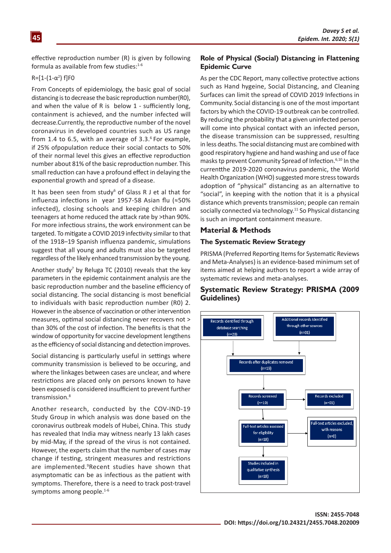effective reproduction number (R) is given by following formula as available from few studies: $1-6$ 

#### $R = [1-(1-α<sup>2</sup>)$  f]F0

From Concepts of epidemiology, the basic goal of social distancing is to decrease the basic reproduction number(R0), and when the value of R is below 1 - sufficiently long, containment is achieved, and the number infected will decrease.Currently, the reproductive number of the novel coronavirus in developed countries such as US range from 1.4 to 6.5, with an average of 3.3. 6 For example, if 25% ofpopulation reduce their social contacts to 50% of their normal level this gives an effective reproduction number about 81% of the basic reproduction number. This small reduction can have a profound effect in delaying the exponential growth and spread of a disease.

It has been seen from study $6$  of Glass R J et al that for influenza infections in year 1957-58 Asian flu (≈50% infected), closing schools and keeping children and teenagers at home reduced the attack rate by >than 90%. For more infectious strains, the work environment can be targeted. To mitigate a COVID 2019 infectivity similar to that of the 1918–19 Spanish influenza pandemic, simulations suggest that all young and adults must also be targeted regardless of the likely enhanced transmission by the young.

Another study<sup>7</sup> by Reluga TC (2010) reveals that the key parameters in the epidemic containment analysis are the basic reproduction number and the baseline efficiency of social distancing. The social distancing is most beneficial to individuals with basic reproduction number (R0) 2. However in the absence of vaccination or other intervention measures, optimal social distancing never recovers not > than 30% of the cost of infection. The benefits is that the window of opportunity for vaccine development lengthens as the efficiency of social distancing and detection improves.

Social distancing is particularly useful in settings where community transmission is believed to be occuring, and where the linkages between cases are unclear, and where restrictions are placed only on persons known to have been exposed is considered insufficient to prevent further transmission.<sup>8</sup>

Another research, conducted by the COV-IND-19 Study Group in which analysis was done based on the coronavirus outbreak models of Hubei, China. This study has revealed that India may witness nearly 13 lakh cases by mid-May, if the spread of the virus is not contained. However, the experts claim that the number of cases may change if testing, stringent measures and restrictions are implemented.<sup>9</sup>Recent studies have shown that asymptomatic can be as infectious as the patient with symptoms. Therefore, there is a need to track post-travel symptoms among people.<sup>1-6</sup>

#### **Role of Physical (Social) Distancing in Flattening Epidemic Curve**

As per the CDC Report, many collective protective actions such as Hand hygeine, Social Distancing, and Cleaning Surfaces can limit the spread of COVID 2019 Infections in Community. Social distancing is one of the most important factors by which the COVID-19 outbreak can be controlled. By reducing the probability that a given uninfected person will come into physical contact with an infected person, the [disease transmission](https://en.wikipedia.org/wiki/Transmission_(medicine)) can be suppressed, resulting in [less deaths](https://en.wikipedia.org/wiki/Mortality_rate). The social distancing must are combined with good respiratory hygiene and hand washing and use of face masks tp prevent Community Spread of Infection.6,10 In the currentthe [2019-2020 coronavirus pandemic,](https://en.wikipedia.org/wiki/2019%E2%80%932020_coronavirus_pandemic) the [World](https://en.wikipedia.org/wiki/World_Health_Organization) [Health Organization](https://en.wikipedia.org/wiki/World_Health_Organization) (WHO) suggested more stress towards adoption of "physical" distancing as an alternative to "social", in keeping with the notion that it is a physical distance which prevents transmission; people can remain socially connected via technology.<sup>11</sup> So Physical distancing is such an important containment measure.

#### **Material & Methods**

#### **The Systematic Review Strategy**

PRISMA (Preferred Reporting Items for Systematic Reviews and Meta-Analyses) is an evidence-based minimum set of items aimed at helping authors to report a wide array of systematic reviews and meta-analyses.

#### **Systematic Review Strategy: PRISMA (2009 Guidelines)**

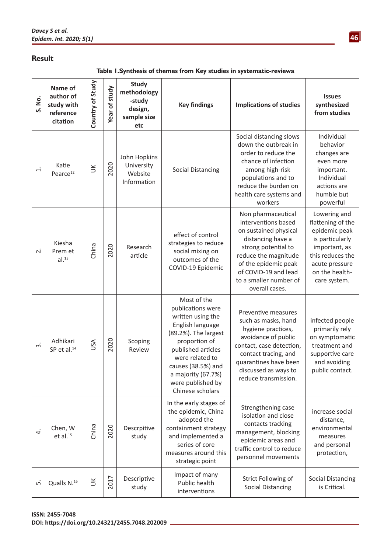## **Result**

**Table 1.Synthesis of themes from Key studies in systematic‑reviewa**

| S. No.                   | Name of<br>author of<br>study with<br>reference<br>citation | Country of Study | Year of study | <b>Study</b><br>methodology<br>-study<br>design,<br>sample size<br>etc | <b>Key findings</b>                                                                                                                                                                                                                              | <b>Implications of studies</b>                                                                                                                                                                                                     | <b>Issues</b><br>synthesized<br>from studies                                                                                                                   |
|--------------------------|-------------------------------------------------------------|------------------|---------------|------------------------------------------------------------------------|--------------------------------------------------------------------------------------------------------------------------------------------------------------------------------------------------------------------------------------------------|------------------------------------------------------------------------------------------------------------------------------------------------------------------------------------------------------------------------------------|----------------------------------------------------------------------------------------------------------------------------------------------------------------|
| $\div$                   | Katie<br>Pearce <sup>12</sup>                               | $\leq$           | 2020          | John Hopkins<br>University<br>Website<br>Information                   | <b>Social Distancing</b>                                                                                                                                                                                                                         | Social distancing slows<br>down the outbreak in<br>order to reduce the<br>chance of infection<br>among high-risk<br>populations and to<br>reduce the burden on<br>health care systems and<br>workers                               | Individual<br>behavior<br>changes are<br>even more<br>important.<br>Individual<br>actions are<br>humble but<br>powerful                                        |
| $\overline{\mathcal{N}}$ | Kiesha<br>Prem et<br>al. <sup>13</sup>                      | China            | 2020          | Research<br>article                                                    | effect of control<br>strategies to reduce<br>social mixing on<br>outcomes of the<br>COVID-19 Epidemic                                                                                                                                            | Non pharmaceutical<br>interventions based<br>on sustained physical<br>distancing have a<br>strong potential to<br>reduce the magnitude<br>of the epidemic peak<br>of COVID-19 and lead<br>to a smaller number of<br>overall cases. | Lowering and<br>flattening of the<br>epidemic peak<br>is particularly<br>important, as<br>this reduces the<br>acute pressure<br>on the health-<br>care system. |
| $\dot{\mathsf{c}}$       | Adhikari<br>SP et al. <sup>14</sup>                         | USA              | 2020          | Scoping<br>Review                                                      | Most of the<br>publications were<br>written using the<br>English language<br>(89.2%). The largest<br>proportion of<br>published articles<br>were related to<br>causes (38.5%) and<br>a majority (67.7%)<br>were published by<br>Chinese scholars | Preventive measures<br>such as masks, hand<br>hygiene practices,<br>avoidance of public<br>contact, case detection,<br>contact tracing, and<br>quarantines have been<br>discussed as ways to<br>reduce transmission.               | infected people<br>primarily rely<br>on symptomatic<br>treatment and<br>supportive care<br>and avoiding<br>public contact.                                     |
| 4                        | Chen, W<br>$et$ al. $^{15}$                                 | China            | 2020          | Descrpitive<br>study                                                   | In the early stages of<br>the epidemic, China<br>adopted the<br>containment strategy<br>and implemented a<br>series of core<br>measures around this<br>strategic point                                                                           | Strengthening case<br>isolation and close<br>contacts tracking<br>management, blocking<br>epidemic areas and<br>traffic control to reduce<br>personnel movements                                                                   | increase social<br>distance,<br>environmental<br>measures<br>and personal<br>protection,                                                                       |
| ம்                       | Qualls N. <sup>16</sup>                                     | $\leq$           | 2017          | Descriptive<br>study                                                   | Impact of many<br>Public health<br>interventions                                                                                                                                                                                                 | Strict Following of<br><b>Social Distancing</b>                                                                                                                                                                                    | <b>Social Distancing</b><br>is Critical.                                                                                                                       |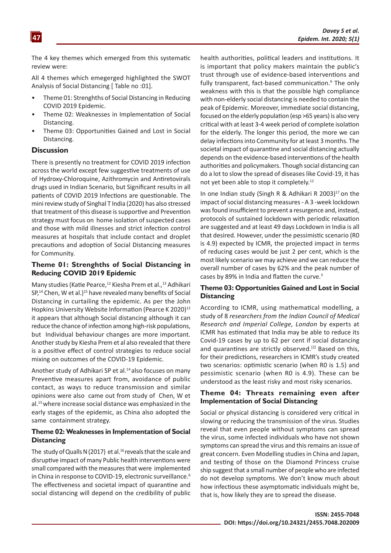The 4 key themes which emerged from this systematic review were:

All 4 themes which emegerged highlighted the SWOT Analysis of Social Distancing [ Table no :01].

- Theme 01: Strenghths of Social Distancing in Reducing COVID 2019 Epidemic.
- Theme 02: Weaknesses in Implementation of Social Distancing.
- Theme 03: Opportunities Gained and Lost in Social Distancing.

#### **Discussion**

There is presently no treatment for COVID 2019 infection across the world except few suggestive treatments of use of Hydroxy-Chloroquine, Azithromycin and Antiretovirals drugs used in Indian Scenario, but Significant results in all patients of COVID 2019 Infections are questionable. The mini review study of Singhal T India (2020) has also stressed that treatment of this disease is supportive and Prevention strategy must focus on home isolation of suspected cases and those with mild illnesses and strict infection control measures at hospitals that include contact and droplet precautions and adoption of Social Distancing measures for Community.

#### **Theme 01: Strenghths of Social Distancing in Reducing COVID 2019 Epidemic**

Many studies (Katie Pearce,<sup>12</sup> Kiesha Prem et al.,<sup>13</sup> Adhikari SP,<sup>14</sup> Chen, W et al.)<sup>15</sup> have revealed many benefits of Social Distancing in curtailing the epidemic. As per the John Hopkins University Website Information (Pearce K 2020)<sup>12</sup> it appears that although Social distancing although it can reduce the chance of infection among [high-risk populations](https://www.cdc.gov/coronavirus/2019-ncov/specific-groups/high-risk-complications.html), but Individual behaviour changes are more important. Another study by Kiesha Prem et al also revealed that there is a positive effect of control strategies to reduce social mixing on outcomes of the COVID-19 Epidemic.

Another study of Adhikari SP et al.<sup>14</sup> also focuses on many Preventive measures apart from, avoidance of public contact, as ways to reduce transmission and similar opinions were also came out from study of Chen, W et al.15 where increase social distance was emphasized in the early stages of the epidemic, as China also adopted the same containment strategy.

#### **Theme 02: Weaknesses in Implementation of Social Distancing**

The study of Qualls N (2017) et al.<sup>16</sup> reveals that the scale and disruptive impact of many Public health interventions were small compared with the measures that were implemented in China in response to COVID-19, electronic surveillance.<sup>6</sup> The effectiveness and societal impact of quarantine and social distancing will depend on the credibility of public health authorities, political leaders and institutions. It is important that policy makers maintain the public's trust through use of evidence-based interventions and fully transparent, fact-based communication.<sup>6</sup> The only weakness with this is that the possible high compliance with non-elderly social distancing is needed to contain the peak of Epidemic. Moreover, immediate social distancing, focused on the elderly population (esp >65 years) is also very critical with at least 3-4 week period of complete isolation for the elderly. The longer this period, the more we can delay infections into Community for at least 3 months. The societal impact of quarantine and social distancing actually depends on the evidence-based interventions of the health authorities and policymakers. Though social distancing can do a lot to slow the spread of diseases like Covid-19, it has not yet been able to stop it completely.12

In one Indian study (Singh R & Adhikari R 2003) $^{17}$  on the impact of social distancing measures - A 3 -week lockdown was found insufficient to prevent a resurgence and, instead, protocols of sustained lockdown with periodic relaxation are suggested and at least 49 days Lockdown in India is all that desired. However, under the pessimistic scenario (R0 is 4.9) expected by ICMR, the projected impact in terms of reducing cases would be just 2 per cent, which is the most likely scenario we may achieve and we can [reduce](https://www.nytimes.com/2020/03/23/world/asia/coronavirus-south-korea-flatten-curve.html) the overall number of cases by 62% and the peak number of cases by 89% in India and [flatten the curve](https://www.abc.net.au/news/2020-03-25/model-shows-physical-distancing-is-vital-to-coronavirus-response/12086230).<sup>3</sup>

#### **Theme 03: Opportunities Gained and Lost in Social Distancing**

According to ICMR, using mathematical modelling, a study of 8 *researchers from the Indian Council of Medical Research and Imperial College, London* by experts at ICMR has estimated that India may be able to reduce its Covid-19 cases by up to 62 per cent if social distancing and quarantines are strictly observed.<sup>[2]</sup> Based on this, for their predictions, researchers in ICMR's study created two scenarios: optimistic scenario (when R0 is 1.5) and pessimistic scenario (when R0 is 4.9). These can be understood as the least risky and most risky scenarios.

#### **Theme 04: Threats remaining even after Implementation of Social Distancing**

Social or physical distancing is considered very critical in slowing or reducing the transmission of the virus. Studies reveal that even people without symptoms can spread the virus, some infected individuals who have not shown symptoms can spread the virus and this remains an issue of great concern. Even [Modelling studies in China](https://doi.org/10.1101/2020.03.03.20030593m) and [Japan](https://doi.org/10.1016/j.ijid.2020.03.020), and testing of [those on the Diamond Princess cruise](https://www.eurosurveillance.org/content/10.2807/1560-7917.ES.2020.25.10.2000180) [ship](https://www.eurosurveillance.org/content/10.2807/1560-7917.ES.2020.25.10.2000180) suggest that a small number of people who are infected do not develop symptoms. We don't know much about how infectious these asymptomatic individuals might be, that is, how likely they are to spread the disease.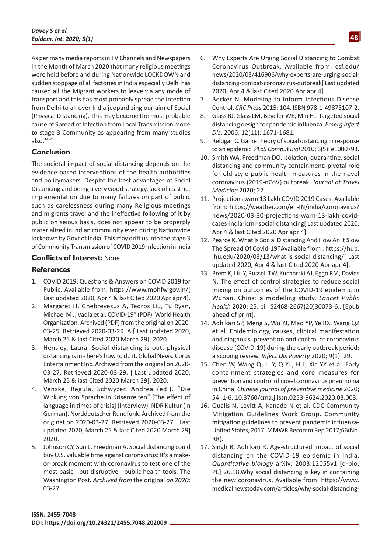As per many media reports in TV Channels and Newspapers in the Month of March 2020 that many religious meetings were held before and during Nationwide LOCKDOWN and sudden stoppage of all factories in India especially Delhi has caused all the Migrant workers to leave via any mode of transport and this has most probably spread the Infection from Delhi to all over India jeopardizing our aim of Social (Physical Distancing). This may become the most probable cause of Spread of Infection from Local Transmission mode to stage 3 Community as appearing from many studies also.14-21

# **Conclusion**

The societal impact of social distancing depends on the evidence-based interventions of the health authorities and policymakers. Despite the best advantages of Social Distancing and being a very Good strategy, lack of its strict implementation due to many failures on part of public such as carelessness during many Religious meetings and migrants travel and the ineffective following of it by public on seious basis, does not appear to be properply materialized in Indian community even during Nationwide lockdown by Govt of India. This may drift us into the stage 3 of Community Transmission of COVID 2019 Infection in India

## **Conflicts of Interest:** None

## **References**

- 1. COVID 2019. Questions & Answers on COVID 2019 for Public. Available from: <https://www.mohfw.gov.in/>[ Last updated 2020, Apr 4 & last Cited 2020 Apr apr 4].
- 2. Margaret H, [Ghebreyesus A, Tedros](https://en.wikipedia.org/wiki/Tedros_Adhanom_Ghebreyesus) Liu, Tu [Ryan,](https://en.wikipedia.org/wiki/Michael_J._Ryan_(doctor)) [Michael M J](https://en.wikipedia.org/wiki/Michael_J._Ryan_(doctor)), Vadia et al. [COVID-19"](https://www.who.int/docs/default-source/coronaviruse/transcripts/who-audio-emergencies-coronavirus-press-conference-full-20mar2020.pdf?sfvrsn=1eafbff_0) (PDF). [World Health](https://en.wikipedia.org/wiki/World_Health_Organization) [Organization](https://en.wikipedia.org/wiki/World_Health_Organization). [Archived](https://web.archive.org/web/20200325084602/https:/www.who.int/docs/default-source/coronaviruse/transcripts/who-audio-emergencies-coronavirus-press-conference-full-20mar2020.pdf?sfvrsn=1eafbff_0) (PDF) from the original on 2020- 03-25. Retrieved 2020-03-29. A [ Last updated 2020, March 25 & last Cited 2020 March 29]. 2020.
- 3. Hensley, Laura. [Social distancing is out, physical](https://globalnews.ca/news/6717166/what-is-physical-distancing/) [distancing is in - here's how to do it.](https://globalnews.ca/news/6717166/what-is-physical-distancing/) [Global News](https://en.wikipedia.org/wiki/Global_News). [Corus](https://en.wikipedia.org/wiki/Corus_Entertainment_Inc.) [Entertainment Inc.](https://en.wikipedia.org/wiki/Corus_Entertainment_Inc.) [Archived](https://web.archive.org/web/20200326180136/https:/globalnews.ca/news/6717166/what-is-physical-distancing/) from the original on 2020- 03-27. Retrieved 2020-03-29. [ Last updated 2020, March 25 & last Cited 2020 March 29]. 2020.
- 4. [Venske, Regula](https://de.wikipedia.org/wiki/Regula_Venske). Schwyzer, Andrea (ed.). ["Die](https://www.ndr.de/kultur/Corona-Die-Wirkung-von-Sprache-in-Krisenzeiten,venske118.html) [Wirkung von Sprache in Krisenzeiten"](https://www.ndr.de/kultur/Corona-Die-Wirkung-von-Sprache-in-Krisenzeiten,venske118.html) [The effect of language in times of crisis] (Interview). NDR Kultur (in German). [Norddeutscher Rundfunk.](https://en.wikipedia.org/wiki/Norddeutscher_Rundfunk) [Archived](https://web.archive.org/web/20200327214038/https:/www.ndr.de/kultur/Corona-Die-Wirkung-von-Sprache-in-Krisenzeiten,venske118.html) from the original on 2020-03-27. Retrieved 2020-03-27. [Last updated 2020, March 25 & last Cited 2020 March 29] 2020.
- 5. Johnson CY, Sun L, Freedman A. [Social distancing could](https://web.archive.org/web/20200327163232/https:/www.washingtonpost.com/health/2020/03/10/social-distancing-coronavirus/) [buy U.S. valuable time against coronavirus: It's a make](https://web.archive.org/web/20200327163232/https:/www.washingtonpost.com/health/2020/03/10/social-distancing-coronavirus/)[or-break moment with coronavirus to test one of the](https://web.archive.org/web/20200327163232/https:/www.washingtonpost.com/health/2020/03/10/social-distancing-coronavirus/) [most basic - but disruptive - public health tools](https://web.archive.org/web/20200327163232/https:/www.washingtonpost.com/health/2020/03/10/social-distancing-coronavirus/)*.* [The](https://en.wikipedia.org/wiki/The_Washington_Post) [Washington Post](https://en.wikipedia.org/wiki/The_Washington_Post)*. Archived from* [the original](https://www.washingtonpost.com/health/2020/03/10/social-distancing-coronavirus/) *on 2020;*  03-27.
- 6. Why Experts Are Urging Social Distancing to Combat Coronavirus Outbreak. Available from: csf.edu/ news/2020/03/416906/why-experts-are-urging-socialdistancing-combat-coronavirus-outbreak[ Last updated 2020, Apr 4 & last Cited 2020 Apr apr 4].
- 7. Becker N. Modeling to Inform Infectious Disease Control. *[CRC Press](https://en.wikipedia.org/wiki/CRC_Press)* 2015; 104. [ISBN](https://en.wikipedia.org/wiki/International_Standard_Book_Number) [978-1-49873107-2.](https://en.wikipedia.org/wiki/Special:BookSources/978-1-49873107-2)
- 8. Glass RJ, Glass LM, Beyeler WE, Min HJ. Targeted social distancing design for pandemic influenza. *Emerg Infect Dis*. 2006; 12(11): 1671-1681.
- 9. Reluga TC. Game theory of social distancing in response to an epidemic. *PLoS Comput Biol* 2010; 6(5): e1000793.
- 10. Smith WA, Freedman DO. Isolation, quarantine, social distancing and community containment: pivotal role for old-style public health measures in the novel coronavirus (2019-nCoV) outbreak. *Journal of Travel Medicine* 2020; 27.
- 11. Projections warn 13 Lakh COVID 2019 Cases. Available from: [https://weather.com/en-IN/india/coronavirus/](https://weather.com/en-IN/india/coronavirus/news/2020-03-30-projections-warn-13-lakh-covid-cases-india-icmr-social-distancing) [news/2020-03-30-projections-warn-13-lakh-covid](https://weather.com/en-IN/india/coronavirus/news/2020-03-30-projections-warn-13-lakh-covid-cases-india-icmr-social-distancing)[cases-india-icmr-social-distancing](https://weather.com/en-IN/india/coronavirus/news/2020-03-30-projections-warn-13-lakh-covid-cases-india-icmr-social-distancing)[ Last updated 2020, Apr 4 & last Cited 2020 Apr apr 4].
- 12. Pearce K. What Is Social Distancing And How An It Slow The Spread Of Covid-19?Available from : [https://hub.](https://hub.jhu.edu/2020/03/13/what-is-social-distancing/) [jhu.edu/2020/03/13/what-is-social-distancing/\[](https://hub.jhu.edu/2020/03/13/what-is-social-distancing/) Last updated 2020, Apr 4 & last Cited 2020 Apr apr 4].
- 13. [Prem K](https://www.ncbi.nlm.nih.gov/pubmed/?term=Prem K%5BAuthor%5D&cauthor=true&cauthor_uid=32220655), [Liu Y](https://www.ncbi.nlm.nih.gov/pubmed/?term=Liu Y%5BAuthor%5D&cauthor=true&cauthor_uid=32220655), [Russell TW](https://www.ncbi.nlm.nih.gov/pubmed/?term=Russell TW%5BAuthor%5D&cauthor=true&cauthor_uid=32220655), [Kucharski AJ](https://www.ncbi.nlm.nih.gov/pubmed/?term=Kucharski AJ%5BAuthor%5D&cauthor=true&cauthor_uid=32220655), [Eggo RM](https://www.ncbi.nlm.nih.gov/pubmed/?term=Eggo RM%5BAuthor%5D&cauthor=true&cauthor_uid=32220655), [Davies](https://www.ncbi.nlm.nih.gov/pubmed/?term=Davies N%5BAuthor%5D&cauthor=true&cauthor_uid=32220655) [N](https://www.ncbi.nlm.nih.gov/pubmed/?term=Davies N%5BAuthor%5D&cauthor=true&cauthor_uid=32220655). The effect of control strategies to reduce social mixing on outcomes of the COVID-19 epidemic in Wuhan, China: a modelling study. *[Lancet Public](https://www.ncbi.nlm.nih.gov/pubmed/32220655) [Health](https://www.ncbi.nlm.nih.gov/pubmed/32220655)* 2020; 25. pii: S2468-2667(20)30073-6.. [Epub ahead of print].
- 14. [Adhikari SP](https://www.ncbi.nlm.nih.gov/pubmed/?term=Adhikari SP%5BAuthor%5D&cauthor=true&cauthor_uid=32183901), [Meng S](https://www.ncbi.nlm.nih.gov/pubmed/?term=Meng S%5BAuthor%5D&cauthor=true&cauthor_uid=32183901), [Wu YJ](https://www.ncbi.nlm.nih.gov/pubmed/?term=Wu YJ%5BAuthor%5D&cauthor=true&cauthor_uid=32183901), [Mao YP](https://www.ncbi.nlm.nih.gov/pubmed/?term=Mao YP%5BAuthor%5D&cauthor=true&cauthor_uid=32183901), [Ye RX](https://www.ncbi.nlm.nih.gov/pubmed/?term=Ye RX%5BAuthor%5D&cauthor=true&cauthor_uid=32183901), [Wang QZ](https://www.ncbi.nlm.nih.gov/pubmed/?term=Wang QZ%5BAuthor%5D&cauthor=true&cauthor_uid=32183901) et al. Epidemiology, causes, clinical manifestation and diagnosis, prevention and control of coronavirus disease (COVID-19) during the early outbreak period: a scoping review. *[Infect Dis Poverty](https://www.ncbi.nlm.nih.gov/pubmed/32183901)* 2020; 9(1): 29.
- 15. Chen W, Wang Q, Li Y, Q Yu, H L, Xia YY et al .Early containment strategies and core measures for prevention and control of novel coronavirus pneumonia in China. *Chinese journal of preventive medicine* 2020; 54. 1-6. 10.3760/cma.j.issn.0253-9624.2020.03.003.
- 16. Qualls N, Levitt A, Kanade N et al. CDC Community Mitigation Guidelines Work Group. Community mitigation guidelines to prevent pandemic influenza-United States, 2017. MMWR Recomm Rep 2017;66(No. RR).
- 17. Singh R, Adhikari R. Age-structured impact of social distancing on the COVID-19 epidemic in India. *Quantitative biology* arXiv: 2003.12055v1 [q-bio. PE] 26.18.Why social distancing is key in containing the new coronavirus. Available from: [https://www.](https://www.medicalnewstoday.com/articles/why-social-distancing-is-key-in-containing-the-new-coronavirus) [medicalnewstoday.com/articles/why-social-distancing-](https://www.medicalnewstoday.com/articles/why-social-distancing-is-key-in-containing-the-new-coronavirus)